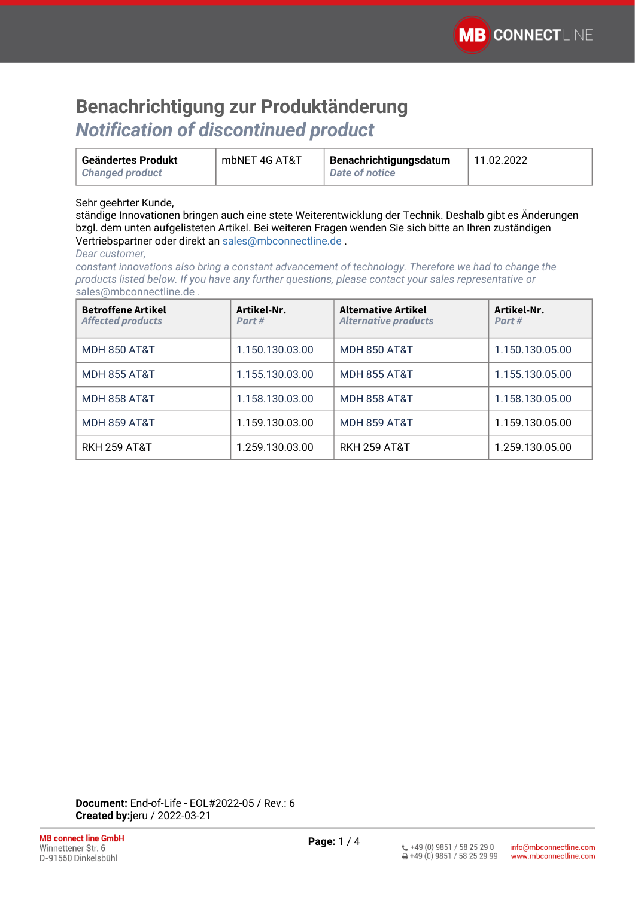### **Benachrichtigung zur Produktänderung** *Notification of discontinued product*

| Geändertes Produkt     | mbNET 4G AT&T | Benachrichtigungsdatum | 11.02.2022 |
|------------------------|---------------|------------------------|------------|
| <b>Changed product</b> |               | Date of notice         |            |

### Sehr geehrter Kunde,

ständige Innovationen bringen auch eine stete Weiterentwicklung der Technik. Deshalb gibt es Änderungen bzgl. dem unten aufgelisteten Artikel. Bei weiteren Fragen wenden Sie sich bitte an Ihren zuständigen Vertriebspartner oder direkt an [sales@mbconnectline.de](mailto:sales@mbconnectline.de) .

#### *Dear customer,*

*constant innovations also bring a constant advancement of technology. Therefore we had to change the products listed below. If you have any further questions, please contact your sales representative or*  [sales@mbconnectline.de](mailto:sales@mbconnectline.de) *.*

| <b>Betroffene Artikel</b><br><b>Affected products</b> | Artikel-Nr.<br>Part# | <b>Alternative Artikel</b><br><b>Alternative products</b> | Artikel-Nr.<br>Part# |
|-------------------------------------------------------|----------------------|-----------------------------------------------------------|----------------------|
| <b>MDH 850 AT&amp;T</b>                               | 1.150.130.03.00      | <b>MDH 850 AT&amp;T</b>                                   | 1.150.130.05.00      |
| <b>MDH 855 AT&amp;T</b>                               | 1.155.130.03.00      | <b>MDH 855 AT&amp;T</b>                                   | 1.155.130.05.00      |
| <b>MDH 858 AT&amp;T</b>                               | 1.158.130.03.00      | <b>MDH 858 AT&amp;T</b>                                   | 1.158.130.05.00      |
| <b>MDH 859 AT&amp;T</b>                               | 1.159.130.03.00      | <b>MDH 859 AT&amp;T</b>                                   | 1.159.130.05.00      |
| RKH 259 AT&T                                          | 1.259.130.03.00      | <b>RKH 259 AT&amp;T</b>                                   | 1.259.130.05.00      |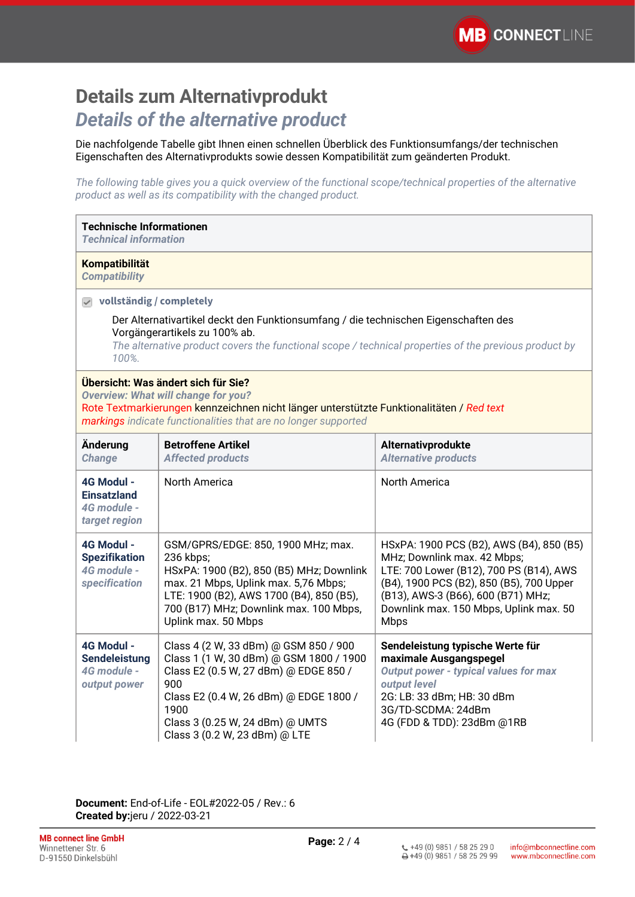## **Details zum Alternativprodukt** *Details of the alternative product*

Die nachfolgende Tabelle gibt Ihnen einen schnellen Überblick des Funktionsumfangs/der technischen Eigenschaften des Alternativprodukts sowie dessen Kompatibilität zum geänderten Produkt.

*The following table gives you a quick overview of the functional scope/technical properties of the alternative product as well as its compatibility with the changed product.*

| <b>Technische Informationen</b><br><b>Technical information</b>                                                                                                                                                                                                                    |                                                                                                                                                                                                                                                        |                                                                                                                                                                                                                                                        |  |  |
|------------------------------------------------------------------------------------------------------------------------------------------------------------------------------------------------------------------------------------------------------------------------------------|--------------------------------------------------------------------------------------------------------------------------------------------------------------------------------------------------------------------------------------------------------|--------------------------------------------------------------------------------------------------------------------------------------------------------------------------------------------------------------------------------------------------------|--|--|
| <b>Kompatibilität</b><br><b>Compatibility</b>                                                                                                                                                                                                                                      |                                                                                                                                                                                                                                                        |                                                                                                                                                                                                                                                        |  |  |
| $\triangledown$ vollständig / completely<br>Der Alternativartikel deckt den Funktionsumfang / die technischen Eigenschaften des<br>Vorgängerartikels zu 100% ab.<br>The alternative product covers the functional scope / technical properties of the previous product by<br>100%. |                                                                                                                                                                                                                                                        |                                                                                                                                                                                                                                                        |  |  |
| Übersicht: Was ändert sich für Sie?<br><b>Overview: What will change for you?</b><br>Rote Textmarkierungen kennzeichnen nicht länger unterstützte Funktionalitäten / Red text<br>markings indicate functionalities that are no longer supported                                    |                                                                                                                                                                                                                                                        |                                                                                                                                                                                                                                                        |  |  |
| Änderung<br><b>Change</b>                                                                                                                                                                                                                                                          | <b>Betroffene Artikel</b><br><b>Affected products</b>                                                                                                                                                                                                  | Alternativprodukte<br><b>Alternative products</b>                                                                                                                                                                                                      |  |  |
| 4G Modul -<br><b>Einsatzland</b><br>4G module -<br>target region                                                                                                                                                                                                                   | <b>North America</b>                                                                                                                                                                                                                                   | North America                                                                                                                                                                                                                                          |  |  |
| 4G Modul -<br><b>Spezifikation</b><br>4G module -<br>specification                                                                                                                                                                                                                 | GSM/GPRS/EDGE: 850, 1900 MHz; max.<br>236 kbps;<br>HSxPA: 1900 (B2), 850 (B5) MHz; Downlink<br>max. 21 Mbps, Uplink max. 5,76 Mbps;<br>LTE: 1900 (B2), AWS 1700 (B4), 850 (B5),<br>700 (B17) MHz; Downlink max. 100 Mbps,<br>Uplink max. 50 Mbps       | HSxPA: 1900 PCS (B2), AWS (B4), 850 (B5)<br>MHz; Downlink max. 42 Mbps;<br>LTE: 700 Lower (B12), 700 PS (B14), AWS<br>(B4), 1900 PCS (B2), 850 (B5), 700 Upper<br>(B13), AWS-3 (B66), 600 (B71) MHz;<br>Downlink max. 150 Mbps, Uplink max. 50<br>Mbps |  |  |
| 4G Modul -<br><b>Sendeleistung</b><br>4G module -<br>output power                                                                                                                                                                                                                  | Class 4 (2 W, 33 dBm) @ GSM 850 / 900<br>Class 1 (1 W, 30 dBm) @ GSM 1800 / 1900<br>Class E2 (0.5 W, 27 dBm) @ EDGE 850 /<br>900<br>Class E2 (0.4 W, 26 dBm) @ EDGE 1800 /<br>1900<br>Class 3 (0.25 W, 24 dBm) @ UMTS<br>Class 3 (0.2 W, 23 dBm) @ LTE | Sendeleistung typische Werte für<br>maximale Ausgangspegel<br><b>Output power - typical values for max</b><br>output level<br>2G: LB: 33 dBm; HB: 30 dBm<br>3G/TD-SCDMA: 24dBm<br>4G (FDD & TDD): 23dBm @1RB                                           |  |  |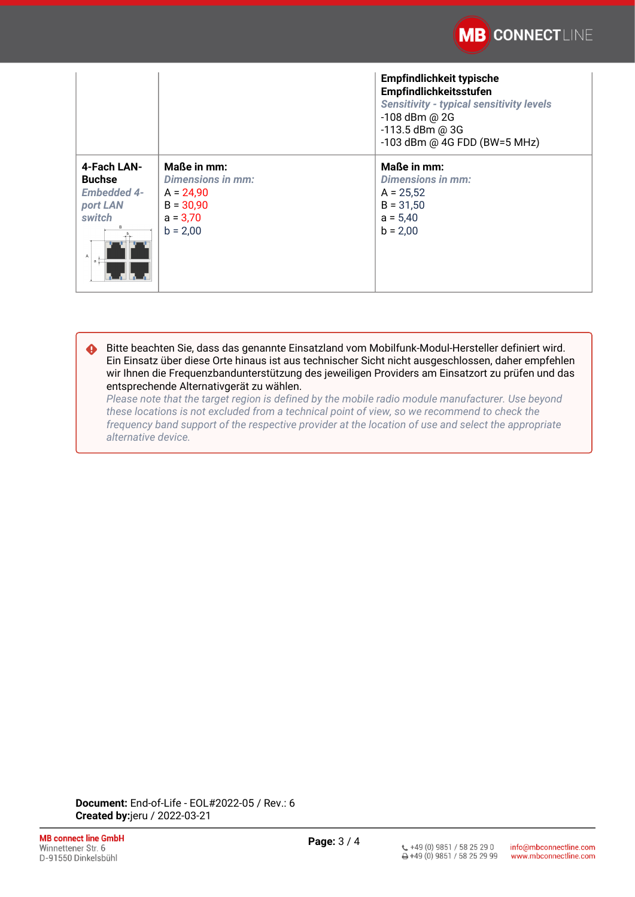

|                                                                                    |                                                                                                   | <b>Empfindlichkeit typische</b><br>Empfindlichkeitsstufen<br><b>Sensitivity - typical sensitivity levels</b><br>-108 dBm @ 2G<br>$-113.5$ dBm @ 3G<br>-103 dBm @ 4G FDD (BW=5 MHz) |
|------------------------------------------------------------------------------------|---------------------------------------------------------------------------------------------------|------------------------------------------------------------------------------------------------------------------------------------------------------------------------------------|
| 4-Fach LAN-<br><b>Buchse</b><br><b>Embedded 4-</b><br>port LAN<br>switch<br>B<br>a | Maße in mm:<br><b>Dimensions in mm:</b><br>$A = 24,90$<br>$B = 30,90$<br>$a = 3,70$<br>$b = 2,00$ | Maße in mm:<br>Dimensions in mm:<br>$A = 25,52$<br>$B = 31,50$<br>$a = 5,40$<br>$b = 2,00$                                                                                         |

Bitte beachten Sie, dass das genannte Einsatzland vom Mobilfunk-Modul-Hersteller definiert wird. Ein Einsatz über diese Orte hinaus ist aus technischer Sicht nicht ausgeschlossen, daher empfehlen wir Ihnen die Frequenzbandunterstützung des jeweiligen Providers am Einsatzort zu prüfen und das entsprechende Alternativgerät zu wählen. ♦

*Please note that the target region is defined by the mobile radio module manufacturer. Use beyond these locations is not excluded from a technical point of view, so we recommend to check the frequency band support of the respective provider at the location of use and select the appropriate alternative device.*